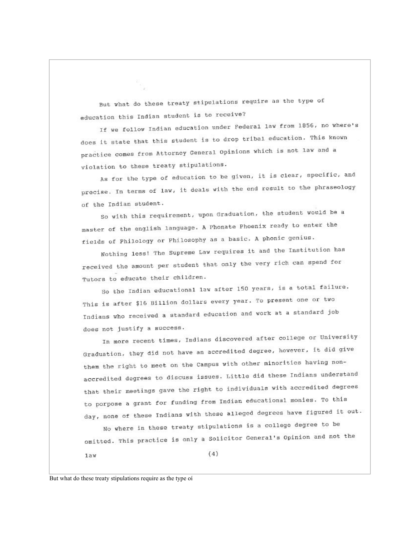But what do these treaty stipulations require as the type of education this Indian student is to receive?

If we follow Indian education under Federal law from 1856, no where's does it state that this student is to drop tribal education. This known practice comes from Attorney General Opinions which is not law and a violation to these treaty stipulations.

As for the type of education to be given, it is clear, specific, and precise. In terms of law, it deals with the end result to the phraseology of the Indian student.

So with this requirement, upon Graduation, the student would be a master of the english language. A Phonate Phoenix ready to enter the fields of Philology or Philosophy as a basic. A phonic genius.

Nothing less! The Supreme Law requires it and the Institution has received the amount per student that only the very rich can spend for Tutors to educate their children.

So the Indian educational law after 150 years, is a total failure. This is after \$16 Billion dollars every year. To present one or two Indians who received a standard education and work at a standard job does not justify a success.

In more recent times, Indians discovered after college or University Graduation, they did not have an accredited degree, however, it did give them the right to meet on the Campus with other minorities having nonaccredited degrees to discuss issues. Little did these Indians understand that their meetings gave the right to individuals with accredited degrees to porpose a grant for funding from Indian educational monies. To this day, none of these Indians with these alleged degrees have figured it out.

No where in these treaty stipulations is a college degree to be omitted. This practice is only a Solicitor General's Opinion and not the

 $1a$ w

But what do these treaty stipulations require as the type of